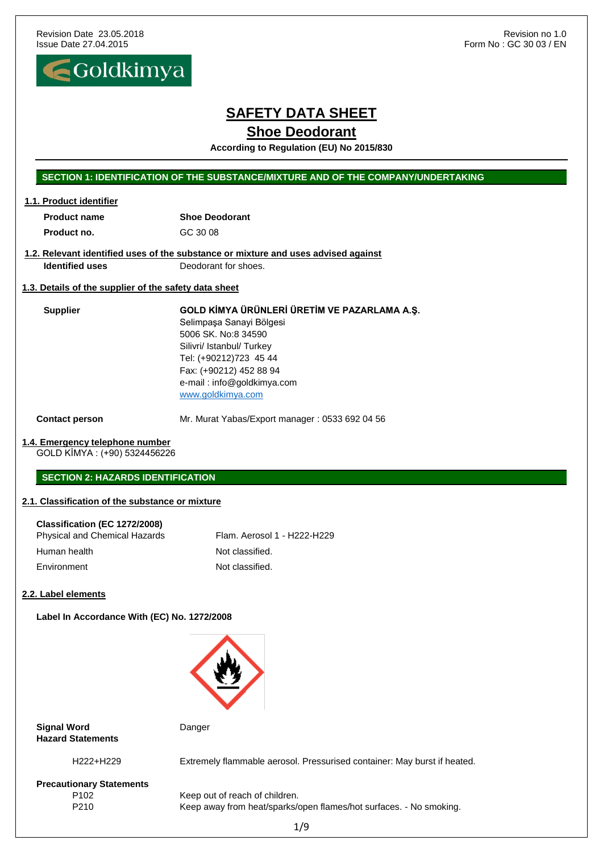

# **SAFETY DATA SHEET**

### **Shoe Deodorant**

**According to Regulation (EU) No 2015/830**

#### **SECTION 1: IDENTIFICATION OF THE SUBSTANCE/MIXTURE AND OF THE COMPANY/UNDERTAKING**

| 1.1. Product identifier |                       |
|-------------------------|-----------------------|
| <b>Product name</b>     | <b>Shoe Deodorant</b> |
| Product no.             | GC 30 08              |

#### **1.2. Relevant identified uses of the substance or mixture and uses advised against Identified uses** Deodorant for shoes.

### **1.3. Details of the supplier of the safety data sheet**

**Supplier GOLD KİMYA ÜRÜNLERİ ÜRETİM VE PAZARLAMA A.Ş.** Selimpaşa Sanayi Bölgesi 5006 SK. No:8 34590 Silivri/ Istanbul/ Turkey Tel: (+90212)723 45 44 Fax: (+90212) 452 88 94 e-mail : info@goldkimya.com [www.goldkimya.com](http://www.goldkimya.com/)

**Contact person** Mr. Murat Yabas/Export manager: 0533 692 04 56

#### **1.4. Emergency telephone number**

GOLD KİMYA : (+90) 5324456226

#### **SECTION 2: HAZARDS IDENTIFICATION**

#### **2.1. Classification of the substance or mixture**

| Classification (EC 1272/2008)        |                             |
|--------------------------------------|-----------------------------|
| <b>Physical and Chemical Hazards</b> | Flam. Aerosol 1 - H222-H229 |
| Human health                         | Not classified.             |
| Environment                          | Not classified.             |

#### **2.2. Label elements**

**Label In Accordance With (EC) No. 1272/2008**



**Signal Word** Danger **Hazard Statements**

H222+H229 Extremely flammable aerosol. Pressurised container: May burst if heated.

**Precautionary Statements**

P102 Keep out of reach of children. P210 Keep away from heat/sparks/open flames/hot surfaces. - No smoking.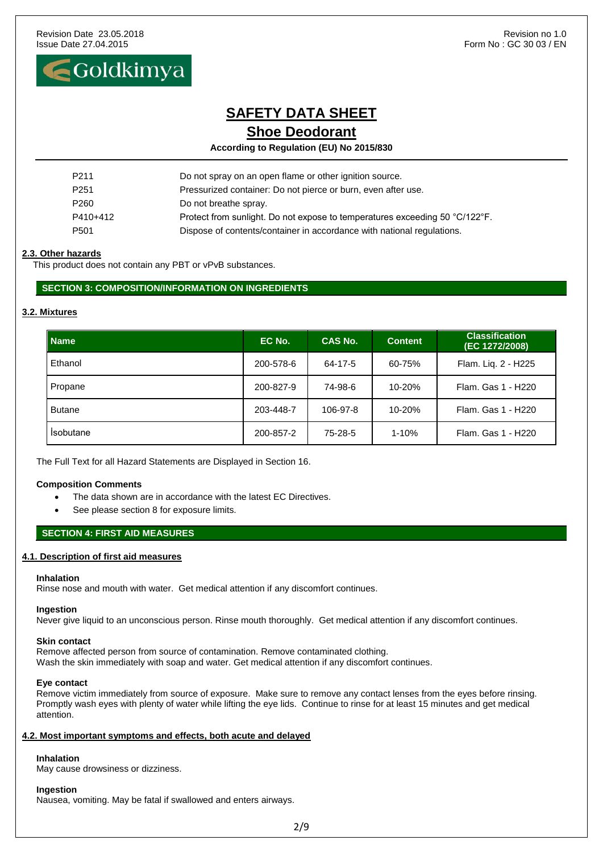Goldkimya

# **SAFETY DATA SHEET Shoe Deodorant**

**According to Regulation (EU) No 2015/830**

| P <sub>211</sub> | Do not spray on an open flame or other ignition source.                     |
|------------------|-----------------------------------------------------------------------------|
| P <sub>251</sub> | Pressurized container: Do not pierce or burn, even after use.               |
| P <sub>260</sub> | Do not breathe spray.                                                       |
| P410+412         | Protect from sunlight. Do not expose to temperatures exceeding 50 °C/122°F. |
| P <sub>501</sub> | Dispose of contents/container in accordance with national regulations.      |

#### **2.3. Other hazards**

This product does not contain any PBT or vPvB substances.

#### **SECTION 3: COMPOSITION/INFORMATION ON INGREDIENTS**

 $\overline{\phantom{a}}$ 

#### **3.2. Mixtures**

| <b>Name</b>   | EC No.    | <b>CAS No.</b> | <b>Content</b> | <b>Classification</b><br>(EC 1272/2008) |
|---------------|-----------|----------------|----------------|-----------------------------------------|
| Ethanol       | 200-578-6 | 64-17-5        | 60-75%         | Flam. Liq. 2 - H225                     |
| Propane       | 200-827-9 | 74-98-6        | 10-20%         | Flam, Gas 1 - H220                      |
| <b>Butane</b> | 203-448-7 | 106-97-8       | 10-20%         | Flam, Gas 1 - H220                      |
| Isobutane     | 200-857-2 | 75-28-5        | $1 - 10%$      | Flam, Gas 1 - H220                      |

The Full Text for all Hazard Statements are Displayed in Section 16.

#### **Composition Comments**

- The data shown are in accordance with the latest EC Directives.
- See please section 8 for exposure limits.

#### **SECTION 4: FIRST AID MEASURES**

#### **4.1. Description of first aid measures**

#### **Inhalation**

Rinse nose and mouth with water. Get medical attention if any discomfort continues.

#### **Ingestion**

Never give liquid to an unconscious person. Rinse mouth thoroughly. Get medical attention if any discomfort continues.

#### **Skin contact**

Remove affected person from source of contamination. Remove contaminated clothing. Wash the skin immediately with soap and water. Get medical attention if any discomfort continues.

#### **Eye contact**

Remove victim immediately from source of exposure. Make sure to remove any contact lenses from the eyes before rinsing. Promptly wash eyes with plenty of water while lifting the eye lids. Continue to rinse for at least 15 minutes and get medical attention.

#### **4.2. Most important symptoms and effects, both acute and delayed**

#### **Inhalation**

May cause drowsiness or dizziness.

#### **Ingestion**

Nausea, vomiting. May be fatal if swallowed and enters airways.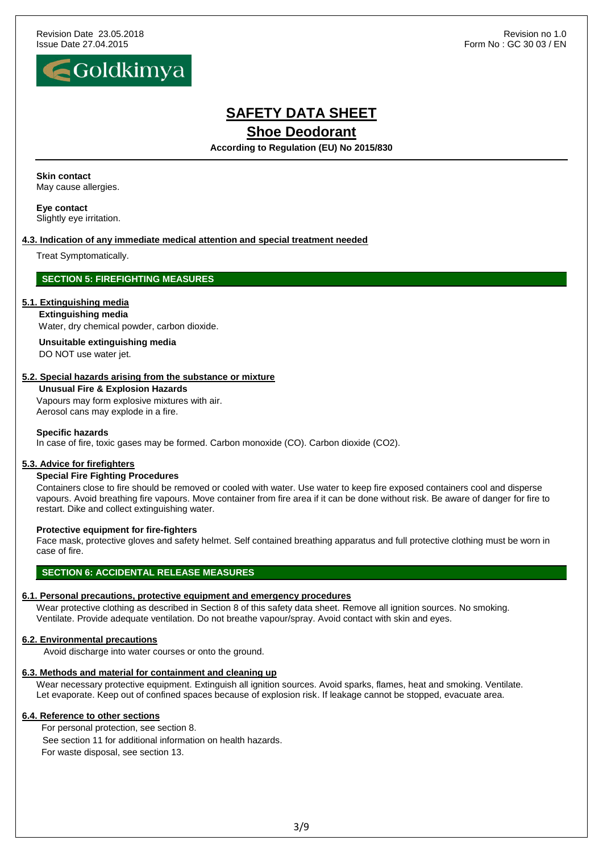

### $\blacksquare$ Goldkimya  $\overline{\phantom{a}}$

# **SAFETY DATA SHEET**

**Shoe Deodorant** 

**According to Regulation (EU) No 2015/830**

#### **Skin contact**

May cause allergies.

**Eye contact** Slightly eye irritation.

#### **4.3. Indication of any immediate medical attention and special treatment needed**

Treat Symptomatically.

#### **SECTION 5: FIREFIGHTING MEASURES**

#### **5.1. Extinguishing media**

**Extinguishing media** Water, dry chemical powder, carbon dioxide.

**Unsuitable extinguishing media**

DO NOT use water jet.

#### **5.2. Special hazards arising from the substance or mixture**

#### **Unusual Fire & Explosion Hazards**

Vapours may form explosive mixtures with air. Aerosol cans may explode in a fire.

#### **Specific hazards**

In case of fire, toxic gases may be formed. Carbon monoxide (CO). Carbon dioxide (CO2).

#### **5.3. Advice for firefighters**

#### **Special Fire Fighting Procedures**

Containers close to fire should be removed or cooled with water. Use water to keep fire exposed containers cool and disperse vapours. Avoid breathing fire vapours. Move container from fire area if it can be done without risk. Be aware of danger for fire to restart. Dike and collect extinguishing water.

#### **Protective equipment for fire-fighters**

Face mask, protective gloves and safety helmet. Self contained breathing apparatus and full protective clothing must be worn in case of fire.

#### **SECTION 6: ACCIDENTAL RELEASE MEASURES**

#### **6.1. Personal precautions, protective equipment and emergency procedures**

Wear protective clothing as described in Section 8 of this safety data sheet. Remove all ignition sources. No smoking. Ventilate. Provide adequate ventilation. Do not breathe vapour/spray. Avoid contact with skin and eyes.

#### **6.2. Environmental precautions**

Avoid discharge into water courses or onto the ground.

#### **6.3. Methods and material for containment and cleaning up**

Wear necessary protective equipment. Extinguish all ignition sources. Avoid sparks, flames, heat and smoking. Ventilate. Let evaporate. Keep out of confined spaces because of explosion risk. If leakage cannot be stopped, evacuate area.

#### **6.4. Reference to other sections**

For personal protection, see section 8. See section 11 for additional information on health hazards. For waste disposal, see section 13.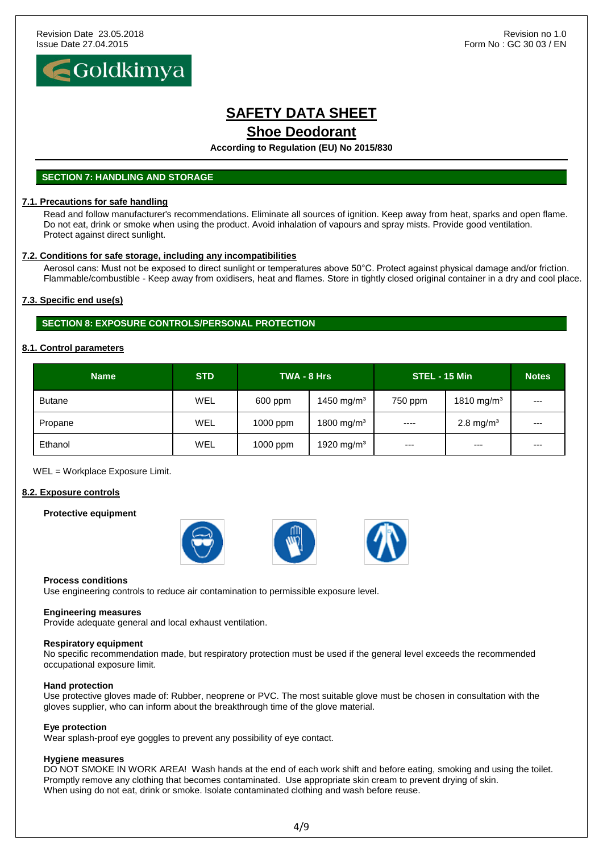

**According to Regulation (EU) No 2015/830**

#### **SECTION 7: HANDLING AND STORAGE**

#### **7.1. Precautions for safe handling**

Read and follow manufacturer's recommendations. Eliminate all sources of ignition. Keep away from heat, sparks and open flame. Do not eat, drink or smoke when using the product. Avoid inhalation of vapours and spray mists. Provide good ventilation. Protect against direct sunlight.

#### **7.2. Conditions for safe storage, including any incompatibilities**

Aerosol cans: Must not be exposed to direct sunlight or temperatures above 50°C. Protect against physical damage and/or friction. Flammable/combustible - Keep away from oxidisers, heat and flames. Store in tightly closed original container in a dry and cool place.

#### **7.3. Specific end use(s)**

**SECTION 8: EXPOSURE CONTROLS/PERSONAL PROTECTION**

#### **8.1. Control parameters**

| <b>Name</b>   | <b>STD</b> | TWA - 8 Hrs |                        | STEL - 15 Min |                        | <b>Notes</b> |
|---------------|------------|-------------|------------------------|---------------|------------------------|--------------|
| <b>Butane</b> | <b>WEL</b> | 600 ppm     | 1450 mg/m <sup>3</sup> | 750 ppm       | 1810 mg/m <sup>3</sup> | $---$        |
| Propane       | WEL        | 1000 ppm    | 1800 mg/m <sup>3</sup> | $- - - -$     | 2.8 mg/ $m3$           | $---$        |
| Ethanol       | WEL        | $1000$ ppm  | 1920 mg/m <sup>3</sup> | $---$         | $---$                  | $---$        |

WEL = Workplace Exposure Limit.

#### **8.2. Exposure controls**

#### **Protective equipment**



#### **Process conditions**

Use engineering controls to reduce air contamination to permissible exposure level.

#### **Engineering measures**

Provide adequate general and local exhaust ventilation.

#### **Respiratory equipment**

No specific recommendation made, but respiratory protection must be used if the general level exceeds the recommended occupational exposure limit.

#### **Hand protection**

Use protective gloves made of: Rubber, neoprene or PVC. The most suitable glove must be chosen in consultation with the gloves supplier, who can inform about the breakthrough time of the glove material.

#### **Eye protection**

Wear splash-proof eye goggles to prevent any possibility of eye contact.

#### **Hygiene measures**

DO NOT SMOKE IN WORK AREA! Wash hands at the end of each work shift and before eating, smoking and using the toilet. Promptly remove any clothing that becomes contaminated. Use appropriate skin cream to prevent drying of skin. When using do not eat, drink or smoke. Isolate contaminated clothing and wash before reuse.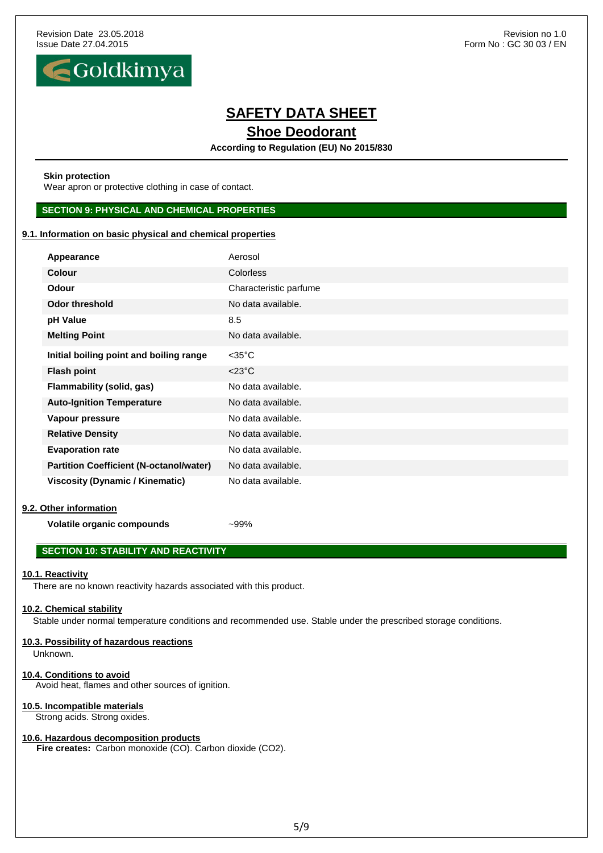Revision Date 23.05.2018 **Revision 1.0** Revision no 1.0 Issue Date 27.04.2015 **Form No : GC 30 03 / EN** 



# **SAFETY DATA SHEET Shoe Deodorant**

**According to Regulation (EU) No 2015/830**

#### **Skin protection**

Wear apron or protective clothing in case of contact.

#### **SECTION 9: PHYSICAL AND CHEMICAL PROPERTIES**

#### **9.1. Information on basic physical and chemical properties**

| Appearance                                     | Aerosol                |
|------------------------------------------------|------------------------|
| <b>Colour</b>                                  | <b>Colorless</b>       |
| <b>Odour</b>                                   | Characteristic parfume |
| <b>Odor threshold</b>                          | No data available.     |
| pH Value                                       | 8.5                    |
| <b>Melting Point</b>                           | No data available.     |
| Initial boiling point and boiling range        | $<$ 35 $^{\circ}$ C    |
| <b>Flash point</b>                             | $<$ 23 $^{\circ}$ C    |
| Flammability (solid, gas)                      | No data available.     |
| <b>Auto-Ignition Temperature</b>               | No data available.     |
| Vapour pressure                                | No data available.     |
| <b>Relative Density</b>                        | No data available.     |
| <b>Evaporation rate</b>                        | No data available.     |
| <b>Partition Coefficient (N-octanol/water)</b> | No data available.     |
| <b>Viscosity (Dynamic / Kinematic)</b>         | No data available.     |

#### **9.2. Other information**

**Volatile organic compounds** ~99%

### **SECTION 10: STABILITY AND REACTIVITY**

#### **10.1. Reactivity**

There are no known reactivity hazards associated with this product.

### **10.2. Chemical stability**

Stable under normal temperature conditions and recommended use. Stable under the prescribed storage conditions.

### **10.3. Possibility of hazardous reactions**

Unknown.

### **10.4. Conditions to avoid**

Avoid heat, flames and other sources of ignition.

### **10.5. Incompatible materials**

Strong acids. Strong oxides.

### **10.6. Hazardous decomposition products**

**Fire creates:** Carbon monoxide (CO). Carbon dioxide (CO2).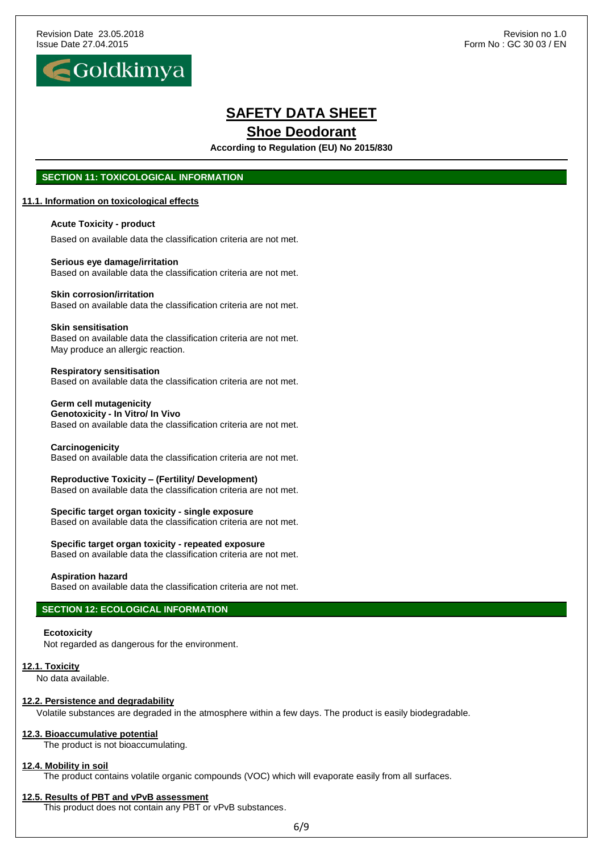

**According to Regulation (EU) No 2015/830**

### **SECTION 11: TOXICOLOGICAL INFORMATION**

#### **11.1. Information on toxicological effects**

**Acute Toxicity - product**

Based on available data the classification criteria are not met.

### **Serious eye damage/irritation**

Based on available data the classification criteria are not met.

#### **Skin corrosion/irritation**

Based on available data the classification criteria are not met.

#### **Skin sensitisation**

Based on available data the classification criteria are not met. May produce an allergic reaction.

#### **Respiratory sensitisation**

Based on available data the classification criteria are not met.

#### **Germ cell mutagenicity Genotoxicity - In Vitro/ In Vivo** Based on available data the classification criteria are not met.

**Carcinogenicity**

Based on available data the classification criteria are not met.

**Reproductive Toxicity – (Fertility/ Development)** Based on available data the classification criteria are not met.

**Specific target organ toxicity - single exposure** Based on available data the classification criteria are not met.

**Specific target organ toxicity - repeated exposure** Based on available data the classification criteria are not met.

#### **Aspiration hazard**

Based on available data the classification criteria are not met.

#### **SECTION 12: ECOLOGICAL INFORMATION**

#### **Ecotoxicity**

Not regarded as dangerous for the environment.

#### **12.1. Toxicity**

No data available.

#### **12.2. Persistence and degradability**

Volatile substances are degraded in the atmosphere within a few days. The product is easily biodegradable.

#### **12.3. Bioaccumulative potential**

The product is not bioaccumulating.

#### **12.4. Mobility in soil**

The product contains volatile organic compounds (VOC) which will evaporate easily from all surfaces.

#### **12.5. Results of PBT and vPvB assessment**

This product does not contain any PBT or vPvB substances.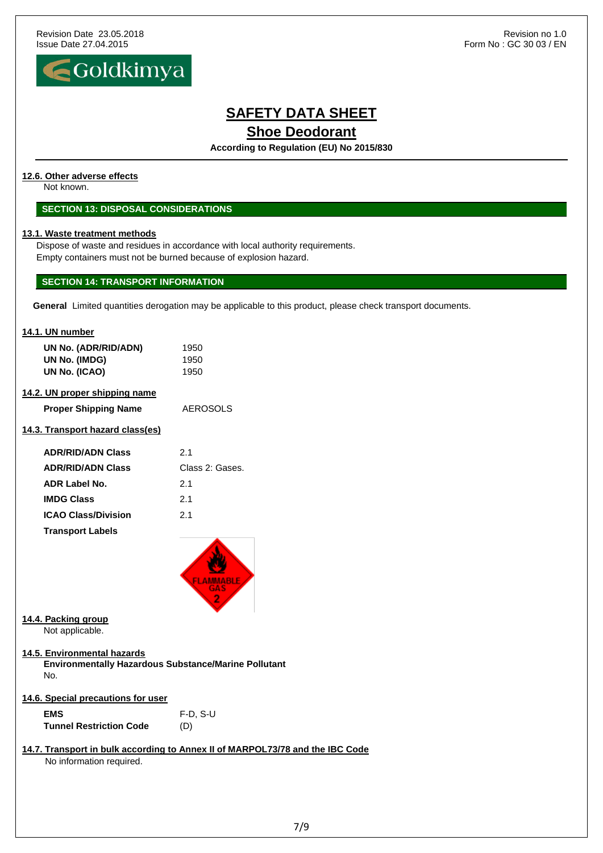

**According to Regulation (EU) No 2015/830**

#### **12.6. Other adverse effects**

Not known.

#### **SECTION 13: DISPOSAL CONSIDERATIONS**

#### **13.1. Waste treatment methods**

Dispose of waste and residues in accordance with local authority requirements. Empty containers must not be burned because of explosion hazard.

#### **SECTION 14: TRANSPORT INFORMATION**

**General** Limited quantities derogation may be applicable to this product, please check transport documents.

#### **14.1. UN number**

| UN No. (ADR/RID/ADN) | 1950 |
|----------------------|------|
| UN No. (IMDG)        | 1950 |
| UN No. (ICAO)        | 1950 |

#### **14.2. UN proper shipping name**

| <b>Proper Shipping Name</b> | AEROSOLS |
|-----------------------------|----------|
|-----------------------------|----------|

### **14.3. Transport hazard class(es)**

| <b>ADR/RID/ADN Class</b>   | 21              |
|----------------------------|-----------------|
| <b>ADR/RID/ADN Class</b>   | Class 2: Gases. |
| ADR Label No.              | 2.1             |
| <b>IMDG Class</b>          | 2.1             |
| <b>ICAO Class/Division</b> | 21              |
| <b>Transport Labels</b>    |                 |



#### **14.4. Packing group**

Not applicable.

**14.5. Environmental hazards**

**Environmentally Hazardous Substance/Marine Pollutant** No.

**14.6. Special precautions for user**

**EMS** F-D, S-U **Tunnel Restriction Code** (D)

# **14.7. Transport in bulk according to Annex II of MARPOL73/78 and the IBC Code**

No information required.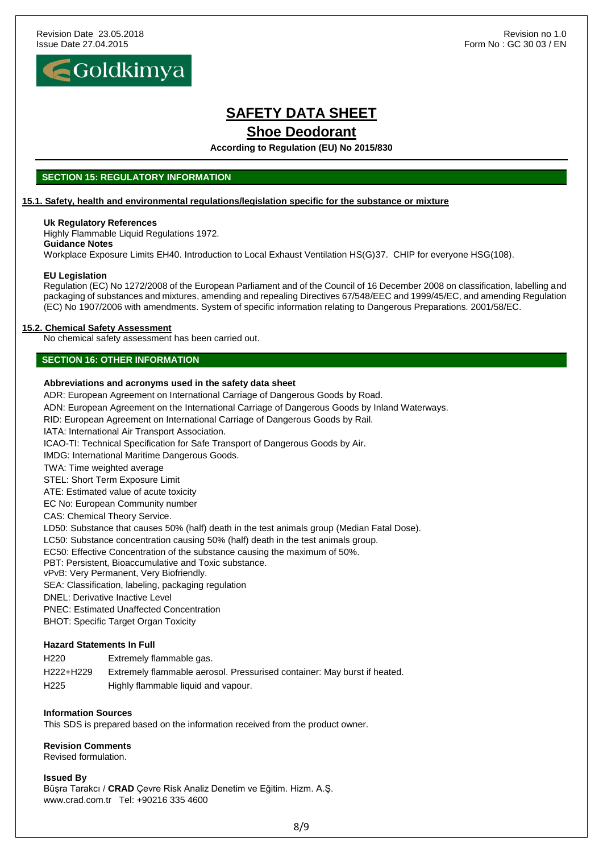

**According to Regulation (EU) No 2015/830**

#### **SECTION 15: REGULATORY INFORMATION**

#### **15.1. Safety, health and environmental regulations/legislation specific for the substance or mixture**

#### **Uk Regulatory References**

Highly Flammable Liquid Regulations 1972. **Guidance Notes**

Workplace Exposure Limits EH40. Introduction to Local Exhaust Ventilation HS(G)37. CHIP for everyone HSG(108).

#### **EU Legislation**

Regulation (EC) No 1272/2008 of the European Parliament and of the Council of 16 December 2008 on classification, labelling and packaging of substances and mixtures, amending and repealing Directives 67/548/EEC and 1999/45/EC, and amending Regulation (EC) No 1907/2006 with amendments. System of specific information relating to Dangerous Preparations. 2001/58/EC.

#### **15.2. Chemical Safety Assessment**

No chemical safety assessment has been carried out.

#### **SECTION 16: OTHER INFORMATION**

#### **Abbreviations and acronyms used in the safety data sheet**

ADR: European Agreement on International Carriage of Dangerous Goods by Road.

ADN: European Agreement on the International Carriage of Dangerous Goods by Inland Waterways.

RID: European Agreement on International Carriage of Dangerous Goods by Rail.

IATA: International Air Transport Association.

ICAO-TI: Technical Specification for Safe Transport of Dangerous Goods by Air.

IMDG: International Maritime Dangerous Goods.

TWA: Time weighted average

STEL: Short Term Exposure Limit

ATE: Estimated value of acute toxicity

EC No: European Community number

CAS: Chemical Theory Service.

LD50: Substance that causes 50% (half) death in the test animals group (Median Fatal Dose).

LC50: Substance concentration causing 50% (half) death in the test animals group.

EC50: Effective Concentration of the substance causing the maximum of 50%.

PBT: Persistent, Bioaccumulative and Toxic substance.

vPvB: Very Permanent, Very Biofriendly.

SEA: Classification, labeling, packaging regulation

DNEL: Derivative Inactive Level

PNEC: Estimated Unaffected Concentration

BHOT: Specific Target Organ Toxicity

#### **Hazard Statements In Full**

| H <sub>220</sub> | Extremely flammable gas. |
|------------------|--------------------------|
|------------------|--------------------------|

H222+H229 Extremely flammable aerosol. Pressurised container: May burst if heated.

H225 Highly flammable liquid and vapour.

#### **Information Sources**

This SDS is prepared based on the information received from the product owner.

**Revision Comments** Revised formulation.

#### **Issued By**

Büşra Tarakcı / **CRAD** Çevre Risk Analiz Denetim ve Eğitim. Hizm. A.Ş. www.crad.com.tr Tel: +90216 335 4600